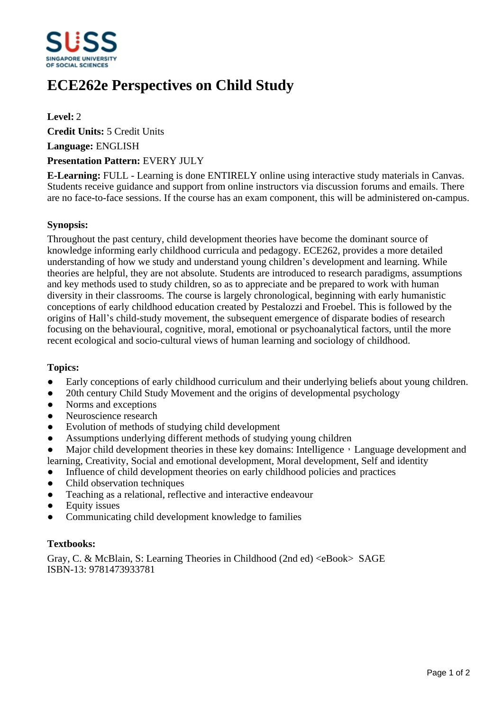

# **ECE262e Perspectives on Child Study**

**Level:** 2

**Credit Units:** 5 Credit Units

**Language:** ENGLISH

### **Presentation Pattern:** EVERY JULY

**E-Learning:** FULL - Learning is done ENTIRELY online using interactive study materials in Canvas. Students receive guidance and support from online instructors via discussion forums and emails. There are no face-to-face sessions. If the course has an exam component, this will be administered on-campus.

# **Synopsis:**

Throughout the past century, child development theories have become the dominant source of knowledge informing early childhood curricula and pedagogy. ECE262, provides a more detailed understanding of how we study and understand young children's development and learning. While theories are helpful, they are not absolute. Students are introduced to research paradigms, assumptions and key methods used to study children, so as to appreciate and be prepared to work with human diversity in their classrooms. The course is largely chronological, beginning with early humanistic conceptions of early childhood education created by Pestalozzi and Froebel. This is followed by the origins of Hall's child-study movement, the subsequent emergence of disparate bodies of research focusing on the behavioural, cognitive, moral, emotional or psychoanalytical factors, until the more recent ecological and socio-cultural views of human learning and sociology of childhood.

#### **Topics:**

- Early conceptions of early childhood curriculum and their underlying beliefs about young children.
- 20th century Child Study Movement and the origins of developmental psychology
- Norms and exceptions
- Neuroscience research
- Evolution of methods of studying child development
- Assumptions underlying different methods of studying young children
- Major child development theories in these key domains: Intelligence, Language development and learning, Creativity, Social and emotional development, Moral development, Self and identity
- Influence of child development theories on early childhood policies and practices
- Child observation techniques
- Teaching as a relational, reflective and interactive endeavour
- Equity issues
- Communicating child development knowledge to families

# **Textbooks:**

Gray, C. & McBlain, S: Learning Theories in Childhood (2nd ed) <eBook> SAGE ISBN-13: 9781473933781